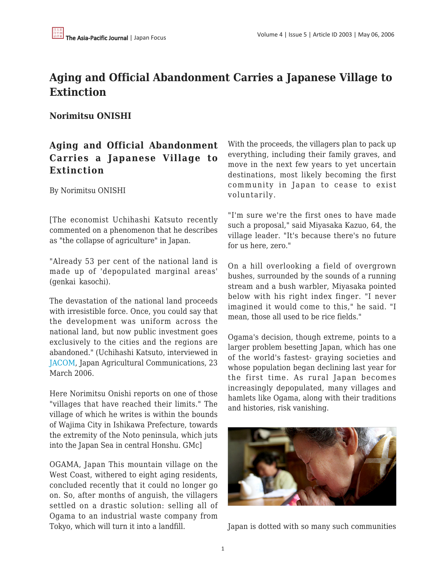## **Aging and Official Abandonment Carries a Japanese Village to Extinction**

## **Norimitsu ONISHI**

## **Aging and Official Abandonment Carries a Japanese Village to Extinction**

By Norimitsu ONISHI

[The economist Uchihashi Katsuto recently commented on a phenomenon that he describes as "the collapse of agriculture" in Japan.

"Already 53 per cent of the national land is made up of 'depopulated marginal areas' (genkai kasochi).

The devastation of the national land proceeds with irresistible force. Once, you could say that the development was uniform across the national land, but now public investment goes exclusively to the cities and the regions are abandoned." (Uchihashi Katsuto, interviewed in [JACOM](http://www.jacom.or.jp/tokusyu/toku186/toku186s06032309.html), Japan Agricultural Communications, 23 March 2006.

Here Norimitsu Onishi reports on one of those "villages that have reached their limits." The village of which he writes is within the bounds of Wajima City in Ishikawa Prefecture, towards the extremity of the Noto peninsula, which juts into the Japan Sea in central Honshu. GMc]

OGAMA, Japan This mountain village on the West Coast, withered to eight aging residents, concluded recently that it could no longer go on. So, after months of anguish, the villagers settled on a drastic solution: selling all of Ogama to an industrial waste company from Tokyo, which will turn it into a landfill.

With the proceeds, the villagers plan to pack up everything, including their family graves, and move in the next few years to yet uncertain destinations, most likely becoming the first community in Japan to cease to exist voluntarily.

"I'm sure we're the first ones to have made such a proposal," said Miyasaka Kazuo, 64, the village leader. "It's because there's no future for us here, zero."

On a hill overlooking a field of overgrown bushes, surrounded by the sounds of a running stream and a bush warbler, Miyasaka pointed below with his right index finger. "I never imagined it would come to this," he said. "I mean, those all used to be rice fields."

Ogama's decision, though extreme, points to a larger problem besetting Japan, which has one of the world's fastest- graying societies and whose population began declining last year for the first time. As rural Japan becomes increasingly depopulated, many villages and hamlets like Ogama, along with their traditions and histories, risk vanishing.



Japan is dotted with so many such communities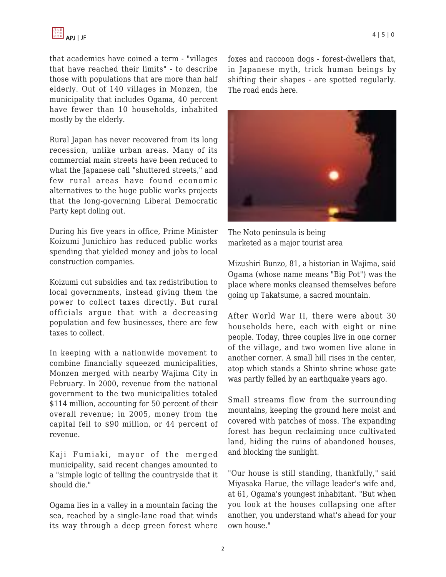that academics have coined a term - "villages that have reached their limits" - to describe those with populations that are more than half elderly. Out of 140 villages in Monzen, the municipality that includes Ogama, 40 percent have fewer than 10 households, inhabited mostly by the elderly.

Rural Japan has never recovered from its long recession, unlike urban areas. Many of its commercial main streets have been reduced to what the Japanese call "shuttered streets," and few rural areas have found economic alternatives to the huge public works projects that the long-governing Liberal Democratic Party kept doling out.

During his five years in office, Prime Minister Koizumi Junichiro has reduced public works spending that yielded money and jobs to local construction companies.

Koizumi cut subsidies and tax redistribution to local governments, instead giving them the power to collect taxes directly. But rural officials argue that with a decreasing population and few businesses, there are few taxes to collect.

In keeping with a nationwide movement to combine financially squeezed municipalities, Monzen merged with nearby Wajima City in February. In 2000, revenue from the national government to the two municipalities totaled \$114 million, accounting for 50 percent of their overall revenue; in 2005, money from the capital fell to \$90 million, or 44 percent of revenue.

Kaji Fumiaki, mayor of the merged municipality, said recent changes amounted to a "simple logic of telling the countryside that it should die."

Ogama lies in a valley in a mountain facing the sea, reached by a single-lane road that winds its way through a deep green forest where foxes and raccoon dogs - forest-dwellers that, in Japanese myth, trick human beings by shifting their shapes - are spotted regularly. The road ends here.



The Noto peninsula is being marketed as a major tourist area

Mizushiri Bunzo, 81, a historian in Wajima, said Ogama (whose name means "Big Pot") was the place where monks cleansed themselves before going up Takatsume, a sacred mountain.

After World War II, there were about 30 households here, each with eight or nine people. Today, three couples live in one corner of the village, and two women live alone in another corner. A small hill rises in the center, atop which stands a Shinto shrine whose gate was partly felled by an earthquake years ago.

Small streams flow from the surrounding mountains, keeping the ground here moist and covered with patches of moss. The expanding forest has begun reclaiming once cultivated land, hiding the ruins of abandoned houses, and blocking the sunlight.

"Our house is still standing, thankfully," said Miyasaka Harue, the village leader's wife and, at 61, Ogama's youngest inhabitant. "But when you look at the houses collapsing one after another, you understand what's ahead for your own house."